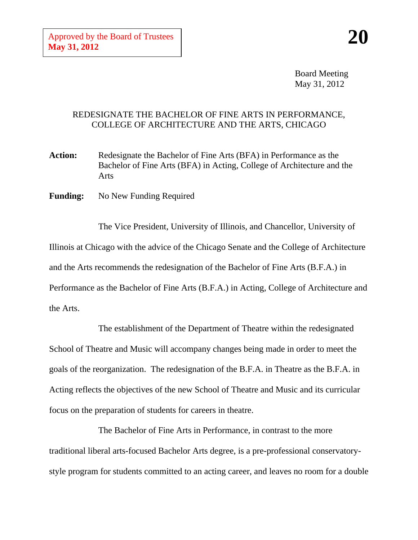Board Meeting May 31, 2012

## REDESIGNATE THE BACHELOR OF FINE ARTS IN PERFORMANCE, COLLEGE OF ARCHITECTURE AND THE ARTS, CHICAGO

- **Action:** Redesignate the Bachelor of Fine Arts (BFA) in Performance as the Bachelor of Fine Arts (BFA) in Acting, College of Architecture and the Arts
- **Funding:** No New Funding Required

The Vice President, University of Illinois, and Chancellor, University of Illinois at Chicago with the advice of the Chicago Senate and the College of Architecture and the Arts recommends the redesignation of the Bachelor of Fine Arts (B.F.A.) in Performance as the Bachelor of Fine Arts (B.F.A.) in Acting, College of Architecture and the Arts.

The establishment of the Department of Theatre within the redesignated School of Theatre and Music will accompany changes being made in order to meet the goals of the reorganization. The redesignation of the B.F.A. in Theatre as the B.F.A. in Acting reflects the objectives of the new School of Theatre and Music and its curricular focus on the preparation of students for careers in theatre.

The Bachelor of Fine Arts in Performance, in contrast to the more traditional liberal arts-focused Bachelor Arts degree, is a pre-professional conservatorystyle program for students committed to an acting career, and leaves no room for a double